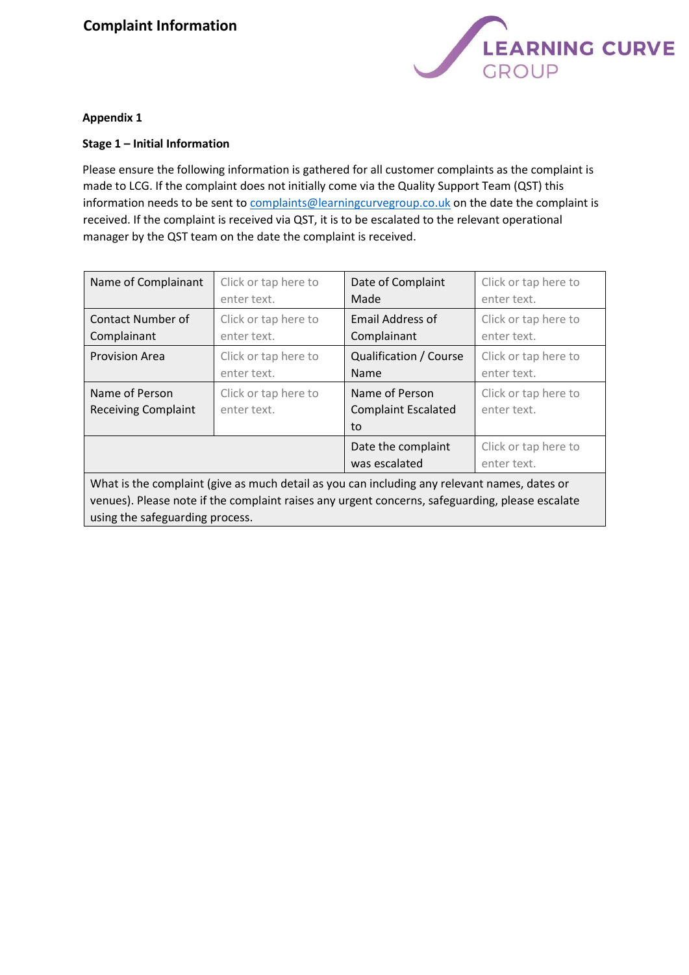## **Complaint Information**



## **Appendix 1**

## **Stage 1 – Initial Information**

Please ensure the following information is gathered for all customer complaints as the complaint is made to LCG. If the complaint does not initially come via the Quality Support Team (QST) this information needs to be sent to complaints@learningcurvegroup.co.uk on the date the complaint is received. If the complaint is received via QST, it is to be escalated to the relevant operational manager by the QST team on the date the complaint is received.

| Name of Complainant                                                                          | Click or tap here to                | Date of Complaint                                  | Click or tap here to                |
|----------------------------------------------------------------------------------------------|-------------------------------------|----------------------------------------------------|-------------------------------------|
|                                                                                              | enter text.                         | Made                                               | enter text.                         |
| Contact Number of                                                                            | Click or tap here to                | Email Address of                                   | Click or tap here to                |
| Complainant                                                                                  | enter text.                         | Complainant                                        | enter text.                         |
| <b>Provision Area</b>                                                                        | Click or tap here to                | Qualification / Course                             | Click or tap here to                |
|                                                                                              | enter text.                         | Name                                               | enter text.                         |
| Name of Person<br><b>Receiving Complaint</b>                                                 | Click or tap here to<br>enter text. | Name of Person<br><b>Complaint Escalated</b><br>to | Click or tap here to<br>enter text. |
|                                                                                              |                                     | Date the complaint<br>was escalated                | Click or tap here to<br>enter text. |
| What is the complaint (give as much detail as you can including any relevant names, dates or |                                     |                                                    |                                     |

venues). Please note if the complaint raises any urgent concerns, safeguarding, please escalate using the safeguarding process.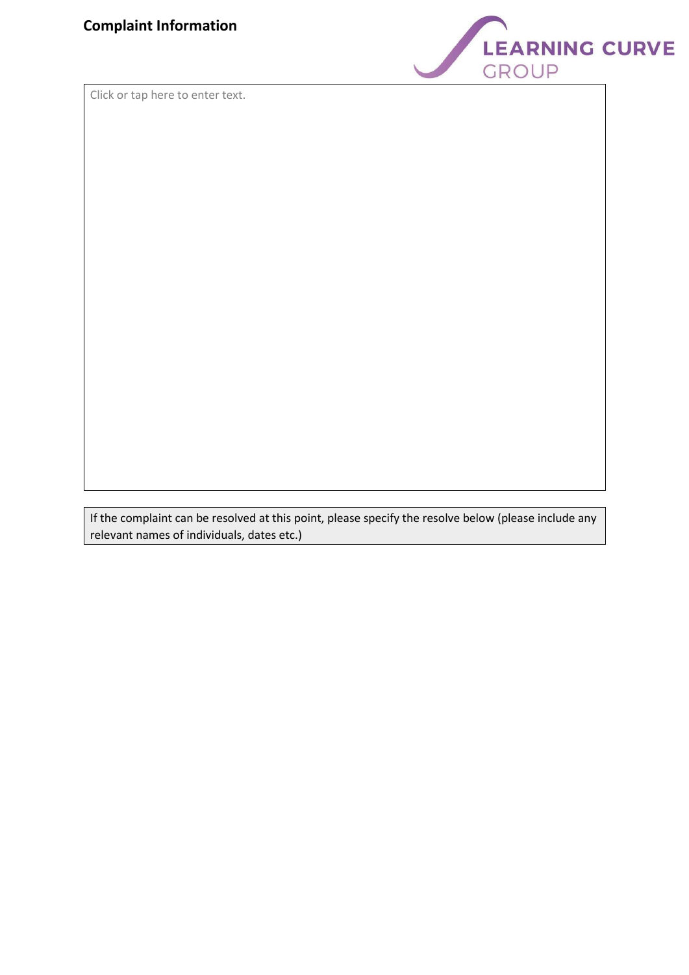

Click or tap here to enter text.

If the complaint can be resolved at this point, please specify the resolve below (please include any relevant names of individuals, dates etc.)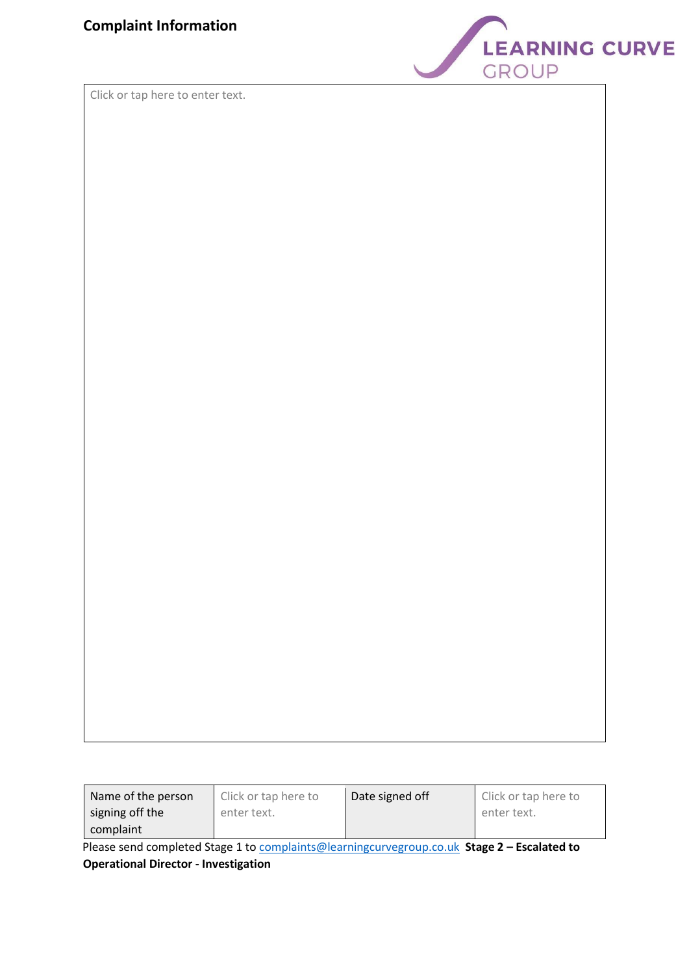

Click or tap here to enter text.

| Name of the person | Click or tap here to | Date signed off | Click or tap here to |
|--------------------|----------------------|-----------------|----------------------|
| signing off the    | enter text.          |                 | enter text.          |
| complaint          |                      |                 |                      |

Please send completed Stage 1 to complaints@learningcurvegroup.co.uk **Stage 2 – Escalated to Operational Director - Investigation**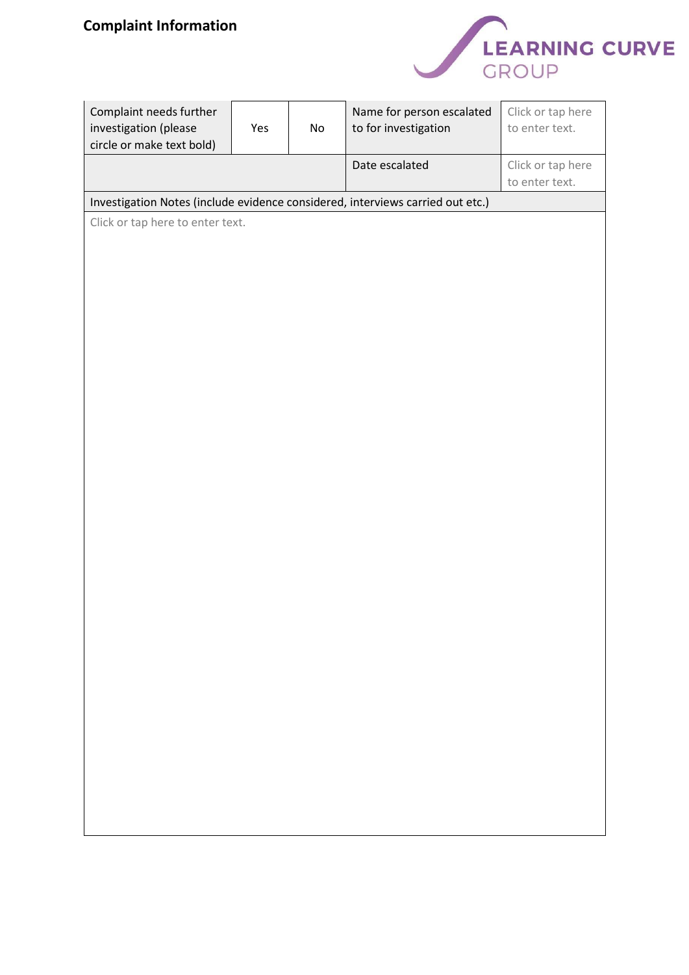

| Complaint needs further<br>investigation (please<br>circle or make text bold) | Yes | No | Name for person escalated<br>to for investigation                              | Click or tap here<br>to enter text. |
|-------------------------------------------------------------------------------|-----|----|--------------------------------------------------------------------------------|-------------------------------------|
|                                                                               |     |    | Date escalated                                                                 | Click or tap here<br>to enter text. |
|                                                                               |     |    | Investigation Notes (include evidence considered, interviews carried out etc.) |                                     |
| Click or tap here to enter text.                                              |     |    |                                                                                |                                     |
|                                                                               |     |    |                                                                                |                                     |
|                                                                               |     |    |                                                                                |                                     |
|                                                                               |     |    |                                                                                |                                     |
|                                                                               |     |    |                                                                                |                                     |
|                                                                               |     |    |                                                                                |                                     |
|                                                                               |     |    |                                                                                |                                     |
|                                                                               |     |    |                                                                                |                                     |
|                                                                               |     |    |                                                                                |                                     |
|                                                                               |     |    |                                                                                |                                     |
|                                                                               |     |    |                                                                                |                                     |
|                                                                               |     |    |                                                                                |                                     |
|                                                                               |     |    |                                                                                |                                     |
|                                                                               |     |    |                                                                                |                                     |
|                                                                               |     |    |                                                                                |                                     |
|                                                                               |     |    |                                                                                |                                     |
|                                                                               |     |    |                                                                                |                                     |
|                                                                               |     |    |                                                                                |                                     |
|                                                                               |     |    |                                                                                |                                     |
|                                                                               |     |    |                                                                                |                                     |
|                                                                               |     |    |                                                                                |                                     |
|                                                                               |     |    |                                                                                |                                     |
|                                                                               |     |    |                                                                                |                                     |
|                                                                               |     |    |                                                                                |                                     |
|                                                                               |     |    |                                                                                |                                     |
|                                                                               |     |    |                                                                                |                                     |
|                                                                               |     |    |                                                                                |                                     |
|                                                                               |     |    |                                                                                |                                     |
|                                                                               |     |    |                                                                                |                                     |
|                                                                               |     |    |                                                                                |                                     |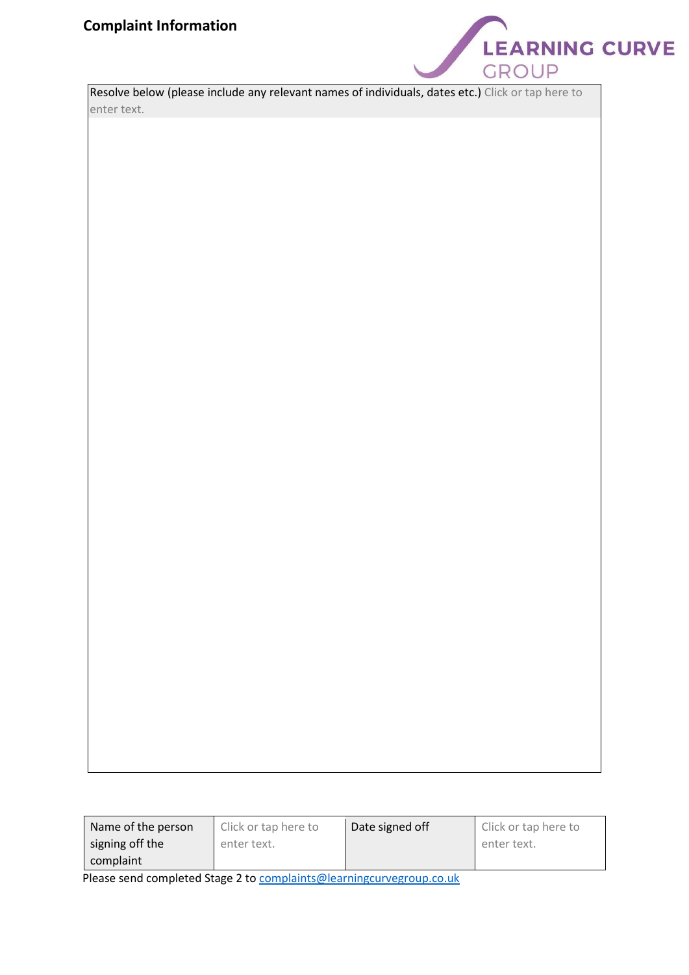

| Resolve below (please include any relevant names of individuals, dates etc.) Click or tap here to |  |
|---------------------------------------------------------------------------------------------------|--|
| enter text.                                                                                       |  |

| Name of the person                                                                            | Click or tap here to | Date signed off | Click or tap here to |
|-----------------------------------------------------------------------------------------------|----------------------|-----------------|----------------------|
| signing off the                                                                               | enter text.          |                 | enter text.          |
| complaint                                                                                     |                      |                 |                      |
| الرازيا والمستحدث والمستحدث والمستحاة المستحدث والمستحدث المستحد المستحدث والمستحدث والمستحدث |                      |                 |                      |

Please send completed Stage 2 to complaints@learningcurvegroup.co.uk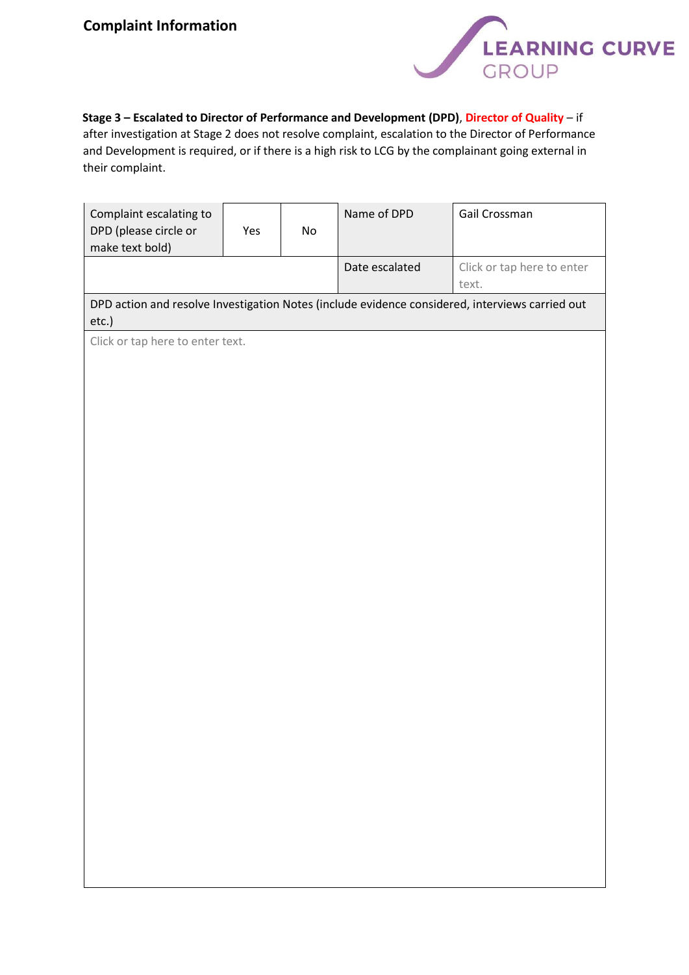

**Stage 3 – Escalated to Director of Performance and Development (DPD)**, **Director of Quality** – if after investigation at Stage 2 does not resolve complaint, escalation to the Director of Performance and Development is required, or if there is a high risk to LCG by the complainant going external in

their complaint.

| Complaint escalating to<br>DPD (please circle or<br>make text bold) | Yes | $\mathsf{No}$ | Name of DPD    | Gail Crossman                                                                                   |
|---------------------------------------------------------------------|-----|---------------|----------------|-------------------------------------------------------------------------------------------------|
|                                                                     |     |               | Date escalated | Click or tap here to enter<br>text.                                                             |
| etc.)                                                               |     |               |                | DPD action and resolve Investigation Notes (include evidence considered, interviews carried out |
| Click or tap here to enter text.                                    |     |               |                |                                                                                                 |
|                                                                     |     |               |                |                                                                                                 |
|                                                                     |     |               |                |                                                                                                 |
|                                                                     |     |               |                |                                                                                                 |
|                                                                     |     |               |                |                                                                                                 |
|                                                                     |     |               |                |                                                                                                 |
|                                                                     |     |               |                |                                                                                                 |
|                                                                     |     |               |                |                                                                                                 |
|                                                                     |     |               |                |                                                                                                 |
|                                                                     |     |               |                |                                                                                                 |
|                                                                     |     |               |                |                                                                                                 |
|                                                                     |     |               |                |                                                                                                 |
|                                                                     |     |               |                |                                                                                                 |
|                                                                     |     |               |                |                                                                                                 |
|                                                                     |     |               |                |                                                                                                 |
|                                                                     |     |               |                |                                                                                                 |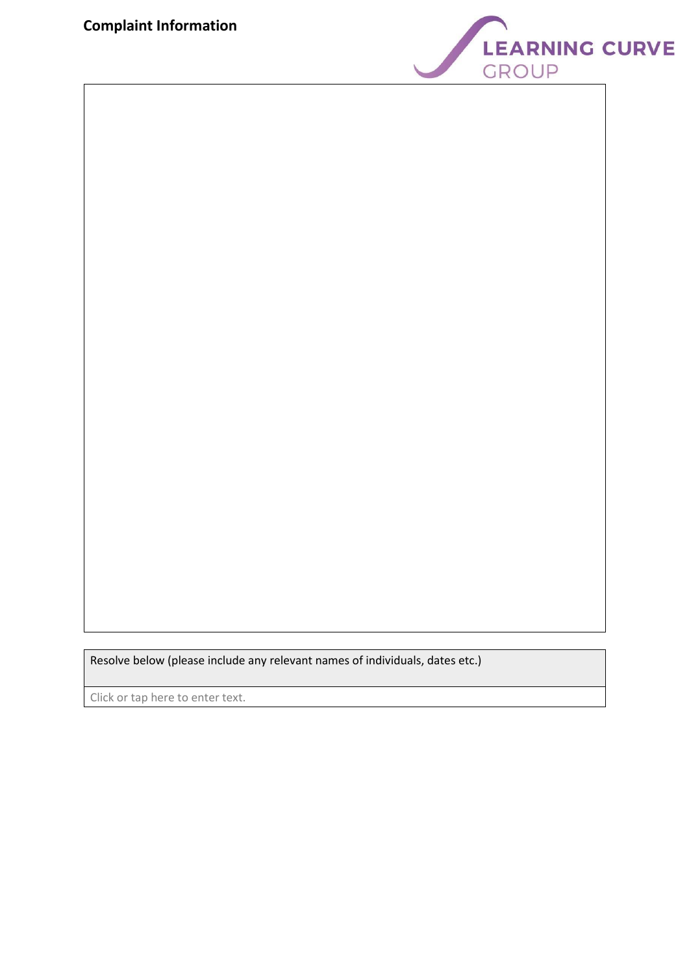

Resolve below (please include any relevant names of individuals, dates etc.)

Click or tap here to enter text.